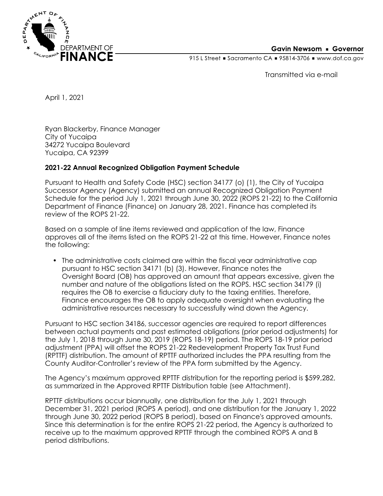

## **Gavin Newsom • Governor**

915 L Street Gacramento CA = 95814-3706 Www.dof.ca.gov

Transmitted via e-mail

April 1, 2021

Ryan Blackerby, Finance Manager City of Yucaipa 34272 Yucaipa Boulevard Yucaipa, CA 92399

## **2021-22 Annual Recognized Obligation Payment Schedule**

Pursuant to Health and Safety Code (HSC) section 34177 (o) (1), the City of Yucaipa Successor Agency (Agency) submitted an annual Recognized Obligation Payment Schedule for the period July 1, 2021 through June 30, 2022 (ROPS 21-22) to the California Department of Finance (Finance) on January 28, 2021. Finance has completed its review of the ROPS 21-22.

Based on a sample of line items reviewed and application of the law, Finance approves all of the items listed on the ROPS 21-22 at this time. However, Finance notes the following:

• The administrative costs claimed are within the fiscal year administrative cap pursuant to HSC section 34171 (b) (3). However, Finance notes the Oversight Board (OB) has approved an amount that appears excessive, given the number and nature of the obligations listed on the ROPS. HSC section 34179 (i) requires the OB to exercise a fiduciary duty to the taxing entities. Therefore, Finance encourages the OB to apply adequate oversight when evaluating the administrative resources necessary to successfully wind down the Agency.

Pursuant to HSC section 34186, successor agencies are required to report differences between actual payments and past estimated obligations (prior period adjustments) for the July 1, 2018 through June 30, 2019 (ROPS 18-19) period. The ROPS 18-19 prior period adjustment (PPA) will offset the ROPS 21-22 Redevelopment Property Tax Trust Fund (RPTTF) distribution. The amount of RPTTF authorized includes the PPA resulting from the County Auditor-Controller's review of the PPA form submitted by the Agency.

The Agency's maximum approved RPTTF distribution for the reporting period is \$599,282, as summarized in the Approved RPTTF Distribution table (see Attachment).

RPTTF distributions occur biannually, one distribution for the July 1, 2021 through December 31, 2021 period (ROPS A period), and one distribution for the January 1, 2022 through June 30, 2022 period (ROPS B period), based on Finance's approved amounts. Since this determination is for the entire ROPS 21-22 period, the Agency is authorized to receive up to the maximum approved RPTTF through the combined ROPS A and B period distributions.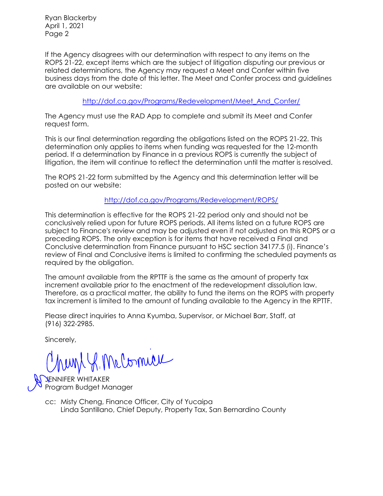Ryan Blackerby April 1, 2021 Page 2

If the Agency disagrees with our determination with respect to any items on the ROPS 21-22, except items which are the subject of litigation disputing our previous or related determinations, the Agency may request a Meet and Confer within five business days from the date of this letter. The Meet and Confer process and guidelines are available on our website:

[http://dof.ca.gov/Programs/Redevelopment/Meet\\_And\\_Confer/](http://dof.ca.gov/Programs/Redevelopment/Meet_And_Confer/) 

The Agency must use the RAD App to complete and submit its Meet and Confer request form.

This is our final determination regarding the obligations listed on the ROPS 21-22. This determination only applies to items when funding was requested for the 12-month period. If a determination by Finance in a previous ROPS is currently the subject of litigation, the item will continue to reflect the determination until the matter is resolved.

The ROPS 21-22 form submitted by the Agency and this determination letter will be posted on our website:

<http://dof.ca.gov/Programs/Redevelopment/ROPS/>

This determination is effective for the ROPS 21-22 period only and should not be conclusively relied upon for future ROPS periods. All items listed on a future ROPS are subject to Finance's review and may be adjusted even if not adjusted on this ROPS or a preceding ROPS. The only exception is for items that have received a Final and Conclusive determination from Finance pursuant to HSC section 34177.5 (i). Finance's review of Final and Conclusive items is limited to confirming the scheduled payments as required by the obligation.

The amount available from the RPTTF is the same as the amount of property tax increment available prior to the enactment of the redevelopment dissolution law. Therefore, as a practical matter, the ability to fund the items on the ROPS with property tax increment is limited to the amount of funding available to the Agency in the RPTTF.

Please direct inquiries to Anna Kyumba, Supervisor, or Michael Barr, Staff, at (916) 322-2985.

Sincerely,

P. McComicie

ENNIFER WHITAKER Program Budget Manager

cc: Misty Cheng, Finance Officer, City of Yucaipa Linda Santillano, Chief Deputy, Property Tax, San Bernardino County